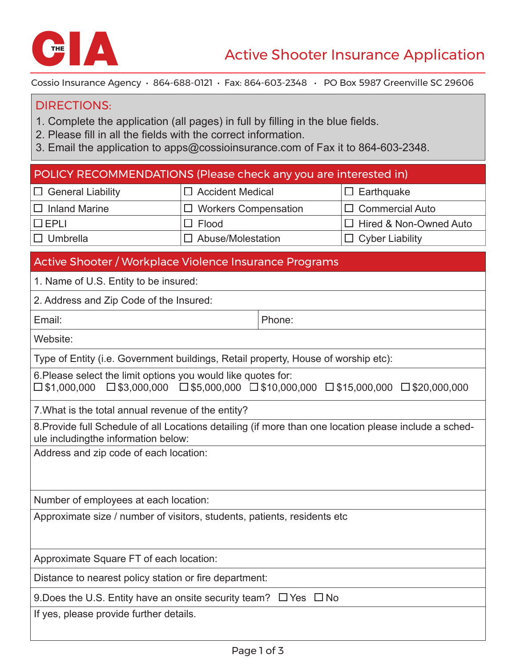

Cossio Insurance Agency • 864-688-0121 • Fax: 864-603-2348 • PO Box 5987 Greenville SC 29606

## DIRECTIONS:

- 1. Complete the application (all pages) in full by filling in the blue fields.
- 2. Please fill in all the fields with the correct information.
- 3. Email the application to apps@cossioinsurance.com of Fax it to 864-603-2348.

| POLICY RECOMMENDATIONS (Please check any you are interested in)                                                                                                                                            |                             |                                  |  |
|------------------------------------------------------------------------------------------------------------------------------------------------------------------------------------------------------------|-----------------------------|----------------------------------|--|
| $\Box$ General Liability                                                                                                                                                                                   | $\Box$ Accident Medical     | $\Box$ Earthquake                |  |
| $\Box$ Inland Marine                                                                                                                                                                                       | $\Box$ Workers Compensation | $\Box$<br><b>Commercial Auto</b> |  |
| $\square$ EPLI                                                                                                                                                                                             | Flood<br>Ш                  | Hired & Non-Owned Auto<br>$\Box$ |  |
| $\square$ Umbrella                                                                                                                                                                                         | $\Box$ Abuse/Molestation    | $\Box$ Cyber Liability           |  |
| Active Shooter / Workplace Violence Insurance Programs                                                                                                                                                     |                             |                                  |  |
| 1. Name of U.S. Entity to be insured:                                                                                                                                                                      |                             |                                  |  |
| 2. Address and Zip Code of the Insured:                                                                                                                                                                    |                             |                                  |  |
| Email:                                                                                                                                                                                                     | Phone:                      |                                  |  |
| Website:                                                                                                                                                                                                   |                             |                                  |  |
| Type of Entity (i.e. Government buildings, Retail property, House of worship etc):                                                                                                                         |                             |                                  |  |
| 6. Please select the limit options you would like quotes for:<br>$\square$ \$3,000,000 $\square$ \$5,000,000 $\square$ \$10,000,000 $\square$ \$15,000,000 $\square$ \$20,000,000<br>$\square$ \$1,000,000 |                             |                                  |  |
| 7. What is the total annual revenue of the entity?                                                                                                                                                         |                             |                                  |  |
| 8. Provide full Schedule of all Locations detailing (if more than one location please include a sched-<br>ule includingthe information below:                                                              |                             |                                  |  |
| Address and zip code of each location:                                                                                                                                                                     |                             |                                  |  |
|                                                                                                                                                                                                            |                             |                                  |  |
| Number of employees at each location:                                                                                                                                                                      |                             |                                  |  |
| Approximate size / number of visitors, students, patients, residents etc                                                                                                                                   |                             |                                  |  |
|                                                                                                                                                                                                            |                             |                                  |  |
| Approximate Square FT of each location:                                                                                                                                                                    |                             |                                  |  |
| Distance to nearest policy station or fire department:                                                                                                                                                     |                             |                                  |  |
| 9. Does the U.S. Entity have an onsite security team? $\Box$ Yes $\Box$ No                                                                                                                                 |                             |                                  |  |
| If yes, please provide further details.                                                                                                                                                                    |                             |                                  |  |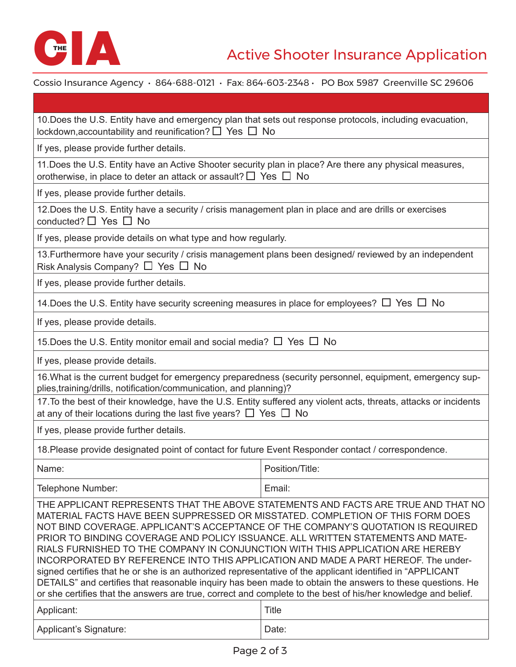

Cossio Insurance Agency • 864-688-0121 • Fax: 864-603-2348 • PO Box 5987 Greenville SC 29606

| 10. Does the U.S. Entity have and emergency plan that sets out response protocols, including evacuation,<br>lockdown, accountability and reunification? $\Box$ Yes $\Box$ No                                                                                                                                                                                                                                                                                                                                                                                                                                                    |                 |  |  |
|---------------------------------------------------------------------------------------------------------------------------------------------------------------------------------------------------------------------------------------------------------------------------------------------------------------------------------------------------------------------------------------------------------------------------------------------------------------------------------------------------------------------------------------------------------------------------------------------------------------------------------|-----------------|--|--|
| If yes, please provide further details.                                                                                                                                                                                                                                                                                                                                                                                                                                                                                                                                                                                         |                 |  |  |
| 11. Does the U.S. Entity have an Active Shooter security plan in place? Are there any physical measures,<br>orotherwise, in place to deter an attack or assault? $\Box$ Yes $\Box$ No                                                                                                                                                                                                                                                                                                                                                                                                                                           |                 |  |  |
| If yes, please provide further details.                                                                                                                                                                                                                                                                                                                                                                                                                                                                                                                                                                                         |                 |  |  |
| 12. Does the U.S. Entity have a security / crisis management plan in place and are drills or exercises<br>conducted? $\Box$ Yes $\Box$ No                                                                                                                                                                                                                                                                                                                                                                                                                                                                                       |                 |  |  |
| If yes, please provide details on what type and how regularly.                                                                                                                                                                                                                                                                                                                                                                                                                                                                                                                                                                  |                 |  |  |
| 13. Furthermore have your security / crisis management plans been designed/ reviewed by an independent<br>Risk Analysis Company? $\Box$ Yes $\Box$ No                                                                                                                                                                                                                                                                                                                                                                                                                                                                           |                 |  |  |
| If yes, please provide further details.                                                                                                                                                                                                                                                                                                                                                                                                                                                                                                                                                                                         |                 |  |  |
| 14. Does the U.S. Entity have security screening measures in place for employees? $\Box$ Yes $\Box$ No                                                                                                                                                                                                                                                                                                                                                                                                                                                                                                                          |                 |  |  |
| If yes, please provide details.                                                                                                                                                                                                                                                                                                                                                                                                                                                                                                                                                                                                 |                 |  |  |
| 15. Does the U.S. Entity monitor email and social media? $\Box$ Yes $\Box$ No                                                                                                                                                                                                                                                                                                                                                                                                                                                                                                                                                   |                 |  |  |
| If yes, please provide details.                                                                                                                                                                                                                                                                                                                                                                                                                                                                                                                                                                                                 |                 |  |  |
| 16. What is the current budget for emergency preparedness (security personnel, equipment, emergency sup-<br>plies, training/drills, notification/communication, and planning)?                                                                                                                                                                                                                                                                                                                                                                                                                                                  |                 |  |  |
| 17. To the best of their knowledge, have the U.S. Entity suffered any violent acts, threats, attacks or incidents<br>at any of their locations during the last five years? $\Box$ Yes $\Box$ No                                                                                                                                                                                                                                                                                                                                                                                                                                 |                 |  |  |
| If yes, please provide further details.                                                                                                                                                                                                                                                                                                                                                                                                                                                                                                                                                                                         |                 |  |  |
| 18. Please provide designated point of contact for future Event Responder contact / correspondence.                                                                                                                                                                                                                                                                                                                                                                                                                                                                                                                             |                 |  |  |
| Name:                                                                                                                                                                                                                                                                                                                                                                                                                                                                                                                                                                                                                           | Position/Title: |  |  |
| Telephone Number:                                                                                                                                                                                                                                                                                                                                                                                                                                                                                                                                                                                                               | Email:          |  |  |
| THE APPLICANT REPRESENTS THAT THE ABOVE STATEMENTS AND FACTS ARE TRUE AND THAT NO<br>MATERIAL FACTS HAVE BEEN SUPPRESSED OR MISSTATED. COMPLETION OF THIS FORM DOES<br>NOT BIND COVERAGE. APPLICANT'S ACCEPTANCE OF THE COMPANY'S QUOTATION IS REQUIRED<br>PRIOR TO BINDING COVERAGE AND POLICY ISSUANCE. ALL WRITTEN STATEMENTS AND MATE-<br>RIALS FURNISHED TO THE COMPANY IN CONJUNCTION WITH THIS APPLICATION ARE HEREBY<br>INCORPORATED BY REFERENCE INTO THIS APPLICATION AND MADE A PART HEREOF. The under-<br>signed certifies that he or she is an authorized representative of the applicant identified in "APPLICANT |                 |  |  |

DETAILS" and certifies that reasonable inquiry has been made to obtain the answers to these questions. He or she certifies that the answers are true, correct and complete to the best of his/her knowledge and belief.

| Applicant:             | Title |
|------------------------|-------|
| Applicant's Signature: | Date: |